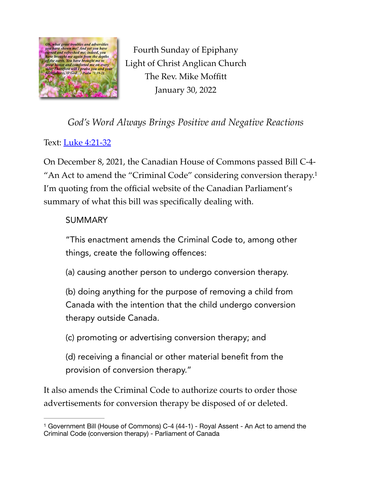

<span id="page-0-1"></span>Fourth Sunday of Epiphany Light of Christ Anglican Church The Rev. Mike Moffitt January 30, 2022

*God's Word Always Brings Positive and Negative Reactions*

Text: [Luke 4:21-32](https://www.biblegateway.com/passage/?search=Luke+4:21%E2%80%9332&version=ESV)

On December 8, 2021, the Canadian House of Commons passed Bill C-4- "An Act to amend the "Criminal Code" considering conversion therapy.<sup>[1](#page-0-0)</sup> I'm quoting from the official website of the Canadian Parliament's summary of what this bill was specifically dealing with.

## SUMMARY

"This enactment amends the Criminal Code to, among other things, create the following offences:

(a) causing another person to undergo conversion therapy.

(b) doing anything for the purpose of removing a child from Canada with the intention that the child undergo conversion therapy outside Canada.

(c) promoting or advertising conversion therapy; and

(d) receiving a financial or other material benefit from the provision of conversion therapy."

It also amends the Criminal Code to authorize courts to order those advertisements for conversion therapy be disposed of or deleted.

<span id="page-0-0"></span><sup>&</sup>lt;sup>[1](#page-0-1)</sup> Government Bill (House of Commons) C-4 (44-1) - Royal Assent - An Act to amend the Criminal Code (conversion therapy) - Parliament of Canada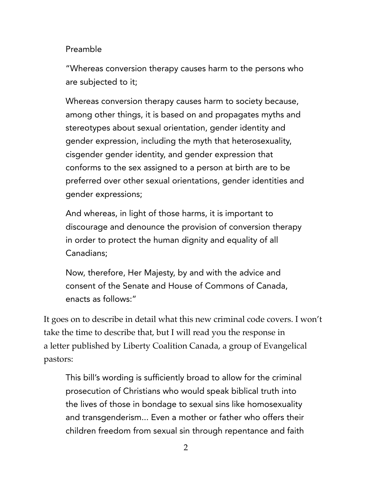## Preamble

"Whereas conversion therapy causes harm to the persons who are subjected to it;

Whereas conversion therapy causes harm to society because, among other things, it is based on and propagates myths and stereotypes about sexual orientation, gender identity and gender expression, including the myth that heterosexuality, cisgender gender identity, and gender expression that conforms to the sex assigned to a person at birth are to be preferred over other sexual orientations, gender identities and gender expressions;

And whereas, in light of those harms, it is important to discourage and denounce the provision of conversion therapy in order to protect the human dignity and equality of all Canadians;

Now, therefore, Her Majesty, by and with the advice and consent of the Senate and House of Commons of Canada, enacts as follows:"

It goes on to describe in detail what this new criminal code covers. I won't take the time to describe that, but I will read you the response in a letter published by Liberty Coalition Canada, a group of Evangelical pastors:

This bill's wording is sufficiently broad to allow for the criminal prosecution of Christians who would speak biblical truth into the lives of those in bondage to sexual sins like homosexuality and transgenderism... Even a mother or father who offers their children freedom from sexual sin through repentance and faith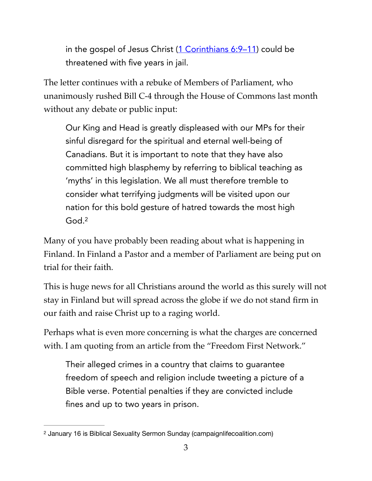in the gospel of Jesus Christ  $(1$  Corinthians  $6:9-11$ ) could be threatened with five years in jail.

The letter continues with a rebuke of Members of Parliament, who unanimously rushed Bill C-4 through the House of Commons last month without any debate or public input:

Our King and Head is greatly displeased with our MPs for their sinful disregard for the spiritual and eternal well-being of Canadians. But it is important to note that they have also committed high blasphemy by referring to biblical teaching as 'myths' in this legislation. We all must therefore tremble to consider what terrifying judgments will be visited upon our nation for this bold gesture of hatred towards the most high God.[2](#page-2-0)

<span id="page-2-1"></span>Many of you have probably been reading about what is happening in Finland. In Finland a Pastor and a member of Parliament are being put on trial for their faith.

This is huge news for all Christians around the world as this surely will not stay in Finland but will spread across the globe if we do not stand firm in our faith and raise Christ up to a raging world.

Perhaps what is even more concerning is what the charges are concerned with. I am quoting from an article from the "Freedom First Network."

Their alleged crimes in a country that claims to guarantee freedom of speech and religion include tweeting a picture of a Bible verse. Potential penalties if they are convicted include fines and up to two years in prison.

<span id="page-2-0"></span><sup>&</sup>lt;sup>[2](#page-2-1)</sup> January 16 is Biblical Sexuality Sermon Sunday (campaignlifecoalition.com)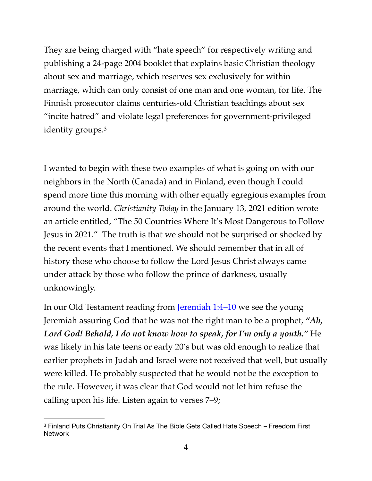They are being charged with "hate speech" for respectively writing and publishing a 24-page 2004 booklet that explains basic Christian theology about sex and marriage, which reserves sex exclusively for within marriage, which can only consist of one man and one woman, for life. The Finnish prosecutor claims centuries-old Christian teachings about sex "incite hatred" and violate legal preferences for government-privileged identity groups.[3](#page-3-0)

<span id="page-3-1"></span>I wanted to begin with these two examples of what is going on with our neighbors in the North (Canada) and in Finland, even though I could spend more time this morning with other equally egregious examples from around the world. *Christianity Today* in the January 13, 2021 edition wrote an article entitled, "The 50 Countries Where It's Most Dangerous to Follow Jesus in 2021." The truth is that we should not be surprised or shocked by the recent events that I mentioned. We should remember that in all of history those who choose to follow the Lord Jesus Christ always came under attack by those who follow the prince of darkness, usually unknowingly.

In our Old Testament reading from <u>Jeremiah 1:4–10</u> we see the young Jeremiah assuring God that he was not the right man to be a prophet, *"Ah, Lord God! Behold, I do not know how to speak, for I'm only a youth."* He was likely in his late teens or early 20's but was old enough to realize that earlier prophets in Judah and Israel were not received that well, but usually were killed. He probably suspected that he would not be the exception to the rule. However, it was clear that God would not let him refuse the calling upon his life. Listen again to verses 7–9;

<span id="page-3-0"></span><sup>&</sup>lt;sup>[3](#page-3-1)</sup> Finland Puts Christianity On Trial As The Bible Gets Called Hate Speech – Freedom First **Network**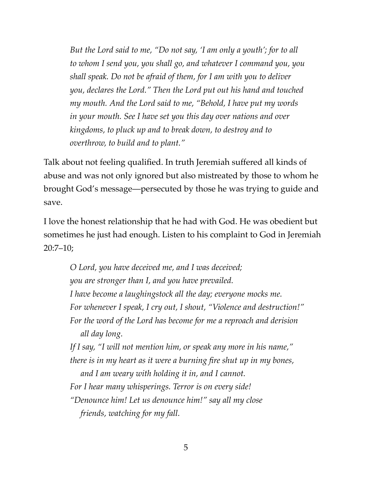*But the Lord said to me, "Do not say, 'I am only a youth'; for to all to whom I send you, you shall go, and whatever I command you, you shall speak. Do not be afraid of them, for I am with you to deliver you, declares the Lord." Then the Lord put out his hand and touched my mouth. And the Lord said to me, "Behold, I have put my words in your mouth. See I have set you this day over nations and over kingdoms, to pluck up and to break down, to destroy and to overthrow, to build and to plant."* 

Talk about not feeling qualified. In truth Jeremiah suffered all kinds of abuse and was not only ignored but also mistreated by those to whom he brought God's message—persecuted by those he was trying to guide and save.

I love the honest relationship that he had with God. He was obedient but sometimes he just had enough. Listen to his complaint to God in Jeremiah 20:7–10;

*O Lord, you have deceived me, and I was deceived; you are stronger than I, and you have prevailed. I have become a laughingstock all the day; everyone mocks me. For whenever I speak, I cry out, I shout, "Violence and destruction!" For the word of the Lord has become for me a reproach and derision all day long. If I say, "I will not mention him, or speak any more in his name," there is in my heart as it were a burning fire shut up in my bones, and I am weary with holding it in, and I cannot. For I hear many whisperings. Terror is on every side! "Denounce him! Let us denounce him!" say all my close friends, watching for my fall.*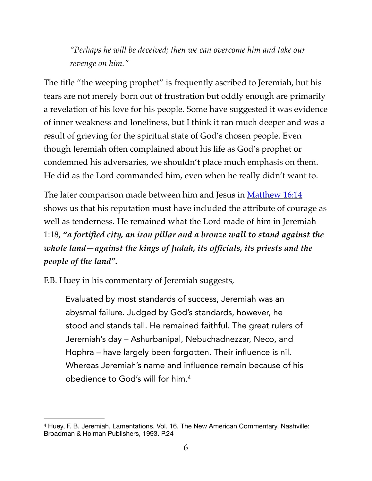*"Perhaps he will be deceived; then we can overcome him and take our revenge on him."* 

The title "the weeping prophet" is frequently ascribed to Jeremiah, but his tears are not merely born out of frustration but oddly enough are primarily a revelation of his love for his people. Some have suggested it was evidence of inner weakness and loneliness, but I think it ran much deeper and was a result of grieving for the spiritual state of God's chosen people. Even though Jeremiah often complained about his life as God's prophet or condemned his adversaries, we shouldn't place much emphasis on them. He did as the Lord commanded him, even when he really didn't want to.

The later comparison made between him and Jesus in [Matthew 16:14](https://www.biblegateway.com/passage/?search=Matthew+16:13%E2%80%9315&version=ESV) shows us that his reputation must have included the attribute of courage as well as tenderness. He remained what the Lord made of him in Jeremiah 1:18, *"a fortified city, an iron pillar and a bronze wall to stand against the whole land—against the kings of Judah, its officials, its priests and the people of the land".*

F.B. Huey in his commentary of Jeremiah suggests,

<span id="page-5-1"></span>Evaluated by most standards of success, Jeremiah was an abysmal failure. Judged by God's standards, however, he stood and stands tall. He remained faithful. The great rulers of Jeremiah's day – Ashurbanipal, Nebuchadnezzar, Neco, and Hophra – have largely been forgotten. Their influence is nil. Whereas Jeremiah's name and influence remain because of his obedience to God's will for him[.4](#page-5-0)

<span id="page-5-0"></span><sup>&</sup>lt;sup>[4](#page-5-1)</sup> Huey, F. B. Jeremiah, Lamentations. Vol. 16. The New American Commentary. Nashville: Broadman & Holman Publishers, 1993. P.24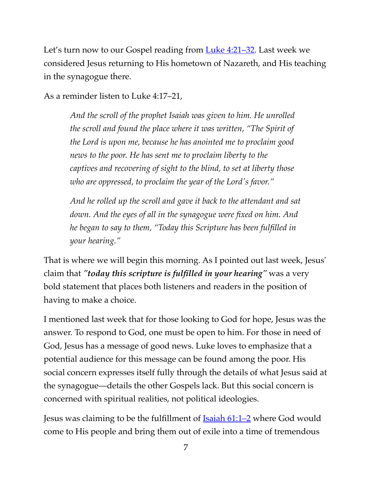Let's turn now to our Gospel reading from <u>[Luke 4:21–32](https://www.biblegateway.com/passage/?search=Luke+4:21%E2%80%9332&version=ESV)</u>. Last week we considered Jesus returning to His hometown of Nazareth, and His teaching in the synagogue there.

As a reminder listen to Luke 4:17–21,

*And the scroll of the prophet Isaiah was given to him. He unrolled the scroll and found the place where it was written, "The Spirit of the Lord is upon me, because he has anointed me to proclaim good news to the poor. He has sent me to proclaim liberty to the captives and recovering of sight to the blind, to set at liberty those who are oppressed, to proclaim the year of the Lord's favor."*

*And he rolled up the scroll and gave it back to the attendant and sat down. And the eyes of all in the synagogue were fixed on him. And he began to say to them, "Today this Scripture has been fulfilled in your hearing."* 

That is where we will begin this morning. As I pointed out last week, Jesus' claim that *"today this scripture is fulfilled in your hearing"* was a very bold statement that places both listeners and readers in the position of having to make a choice.

I mentioned last week that for those looking to God for hope, Jesus was the answer. To respond to God, one must be open to him. For those in need of God, Jesus has a message of good news. Luke loves to emphasize that a potential audience for this message can be found among the poor. His social concern expresses itself fully through the details of what Jesus said at the synagogue—details the other Gospels lack. But this social concern is concerned with spiritual realities, not political ideologies.

Jesus was claiming to be the fulfillment of **Isaiah 61:1–2** where God would come to His people and bring them out of exile into a time of tremendous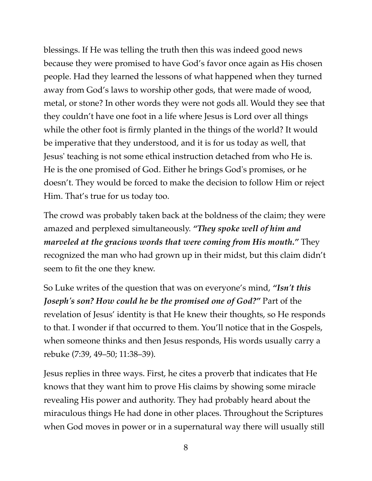blessings. If He was telling the truth then this was indeed good news because they were promised to have God's favor once again as His chosen people. Had they learned the lessons of what happened when they turned away from God's laws to worship other gods, that were made of wood, metal, or stone? In other words they were not gods all. Would they see that they couldn't have one foot in a life where Jesus is Lord over all things while the other foot is firmly planted in the things of the world? It would be imperative that they understood, and it is for us today as well, that Jesus' teaching is not some ethical instruction detached from who He is. He is the one promised of God. Either he brings God's promises, or he doesn't. They would be forced to make the decision to follow Him or reject Him. That's true for us today too.

The crowd was probably taken back at the boldness of the claim; they were amazed and perplexed simultaneously. *"They spoke well of him and marveled at the gracious words that were coming from His mouth."* They recognized the man who had grown up in their midst, but this claim didn't seem to fit the one they knew.

So Luke writes of the question that was on everyone's mind, *"Isn't this Joseph's son? How could he be the promised one of God?"* Part of the revelation of Jesus' identity is that He knew their thoughts, so He responds to that. I wonder if that occurred to them. You'll notice that in the Gospels, when someone thinks and then Jesus responds, His words usually carry a rebuke (7:39, 49–50; 11:38–39).

Jesus replies in three ways. First, he cites a proverb that indicates that He knows that they want him to prove His claims by showing some miracle revealing His power and authority. They had probably heard about the miraculous things He had done in other places. Throughout the Scriptures when God moves in power or in a supernatural way there will usually still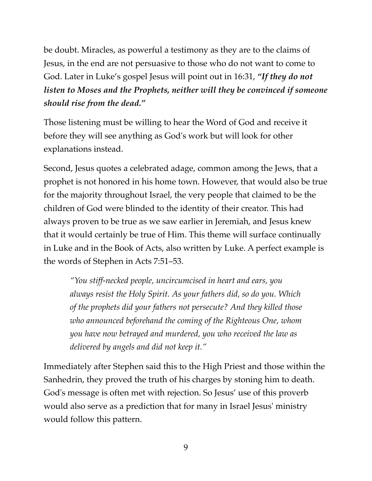be doubt. Miracles, as powerful a testimony as they are to the claims of Jesus, in the end are not persuasive to those who do not want to come to God. Later in Luke's gospel Jesus will point out in 16:31, *"If they do not listen to Moses and the Prophets, neither will they be convinced if someone should rise from the dead."* 

Those listening must be willing to hear the Word of God and receive it before they will see anything as God's work but will look for other explanations instead.

Second, Jesus quotes a celebrated adage, common among the Jews, that a prophet is not honored in his home town. However, that would also be true for the majority throughout Israel, the very people that claimed to be the children of God were blinded to the identity of their creator. This had always proven to be true as we saw earlier in Jeremiah, and Jesus knew that it would certainly be true of Him. This theme will surface continually in Luke and in the Book of Acts, also written by Luke. A perfect example is the words of Stephen in Acts 7:51–53.

*"You stiff-necked people, uncircumcised in heart and ears, you always resist the Holy Spirit. As your fathers did, so do you. Which of the prophets did your fathers not persecute? And they killed those who announced beforehand the coming of the Righteous One, whom you have now betrayed and murdered, you who received the law as delivered by angels and did not keep it."*

Immediately after Stephen said this to the High Priest and those within the Sanhedrin, they proved the truth of his charges by stoning him to death. God's message is often met with rejection. So Jesus' use of this proverb would also serve as a prediction that for many in Israel Jesus' ministry would follow this pattern.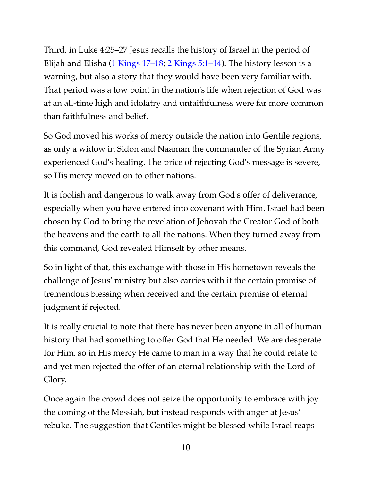Third, in Luke 4:25–27 Jesus recalls the history of Israel in the period of Elijah and Elisha ([1 Kings 17–18;](https://www.biblegateway.com/passage/?search=1+Kings+17-18&version=ESV) [2 Kings 5:1–14](https://www.biblegateway.com/passage/?search=2+Kings+5:1%E2%80%9314&version=ESV)). The history lesson is a warning, but also a story that they would have been very familiar with. That period was a low point in the nation's life when rejection of God was at an all-time high and idolatry and unfaithfulness were far more common than faithfulness and belief.

So God moved his works of mercy outside the nation into Gentile regions, as only a widow in Sidon and Naaman the commander of the Syrian Army experienced God's healing. The price of rejecting God's message is severe, so His mercy moved on to other nations.

It is foolish and dangerous to walk away from God's offer of deliverance, especially when you have entered into covenant with Him. Israel had been chosen by God to bring the revelation of Jehovah the Creator God of both the heavens and the earth to all the nations. When they turned away from this command, God revealed Himself by other means.

So in light of that, this exchange with those in His hometown reveals the challenge of Jesus' ministry but also carries with it the certain promise of tremendous blessing when received and the certain promise of eternal judgment if rejected.

It is really crucial to note that there has never been anyone in all of human history that had something to offer God that He needed. We are desperate for Him, so in His mercy He came to man in a way that he could relate to and yet men rejected the offer of an eternal relationship with the Lord of Glory.

Once again the crowd does not seize the opportunity to embrace with joy the coming of the Messiah, but instead responds with anger at Jesus' rebuke. The suggestion that Gentiles might be blessed while Israel reaps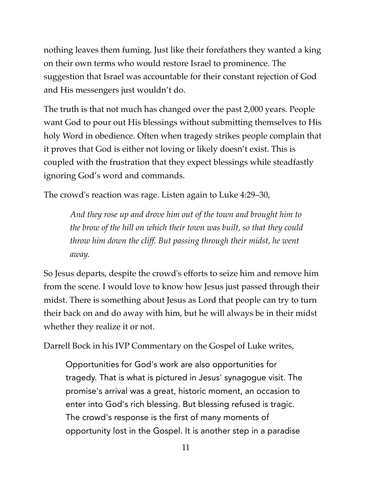nothing leaves them fuming. Just like their forefathers they wanted a king on their own terms who would restore Israel to prominence. The suggestion that Israel was accountable for their constant rejection of God and His messengers just wouldn't do.

The truth is that not much has changed over the past 2,000 years. People want God to pour out His blessings without submitting themselves to His holy Word in obedience. Often when tragedy strikes people complain that it proves that God is either not loving or likely doesn't exist. This is coupled with the frustration that they expect blessings while steadfastly ignoring God's word and commands.

The crowd's reaction was rage. Listen again to Luke 4:29–30,

*And they rose up and drove him out of the town and brought him to the brow of the hill on which their town was built, so that they could throw him down the cliff. But passing through their midst, he went away.* 

So Jesus departs, despite the crowd's efforts to seize him and remove him from the scene. I would love to know how Jesus just passed through their midst. There is something about Jesus as Lord that people can try to turn their back on and do away with him, but he will always be in their midst whether they realize it or not.

Darrell Bock in his IVP Commentary on the Gospel of Luke writes,

Opportunities for God's work are also opportunities for tragedy. That is what is pictured in Jesus' synagogue visit. The promise's arrival was a great, historic moment, an occasion to enter into God's rich blessing. But blessing refused is tragic. The crowd's response is the first of many moments of opportunity lost in the Gospel. It is another step in a paradise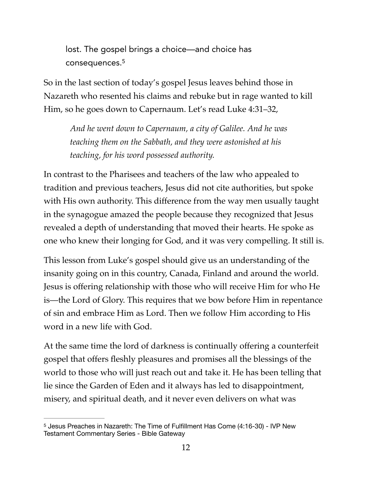<span id="page-11-1"></span>lost. The gospel brings a choice—and choice has consequences.[5](#page-11-0)

So in the last section of today's gospel Jesus leaves behind those in Nazareth who resented his claims and rebuke but in rage wanted to kill Him, so he goes down to Capernaum. Let's read Luke 4:31–32,

*And he went down to Capernaum, a city of Galilee. And he was teaching them on the Sabbath, and they were astonished at his teaching, for his word possessed authority.* 

In contrast to the Pharisees and teachers of the law who appealed to tradition and previous teachers, Jesus did not cite authorities, but spoke with His own authority. This difference from the way men usually taught in the synagogue amazed the people because they recognized that Jesus revealed a depth of understanding that moved their hearts. He spoke as one who knew their longing for God, and it was very compelling. It still is.

This lesson from Luke's gospel should give us an understanding of the insanity going on in this country, Canada, Finland and around the world. Jesus is offering relationship with those who will receive Him for who He is—the Lord of Glory. This requires that we bow before Him in repentance of sin and embrace Him as Lord. Then we follow Him according to His word in a new life with God.

At the same time the lord of darkness is continually offering a counterfeit gospel that offers fleshly pleasures and promises all the blessings of the world to those who will just reach out and take it. He has been telling that lie since the Garden of Eden and it always has led to disappointment, misery, and spiritual death, and it never even delivers on what was

<span id="page-11-0"></span><sup>&</sup>lt;sup>[5](#page-11-1)</sup> Jesus Preaches in Nazareth: The Time of Fulfillment Has Come (4:16-30) - IVP New Testament Commentary Series - Bible Gateway